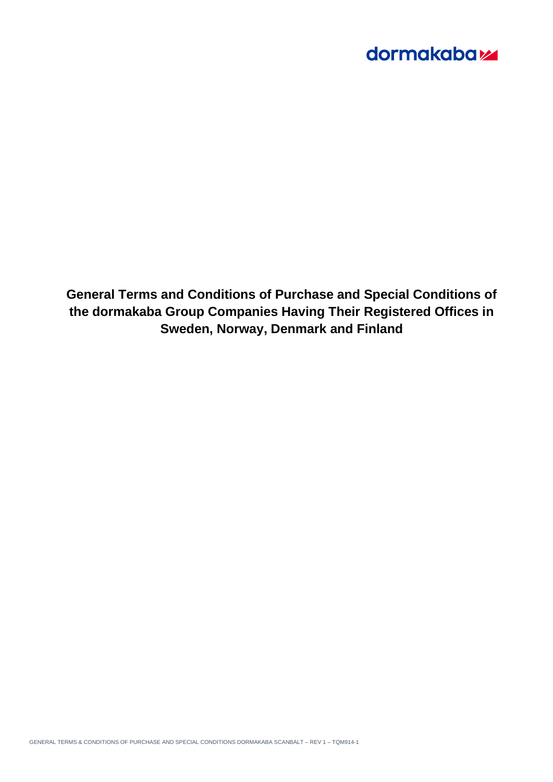**General Terms and Conditions of Purchase and Special Conditions of the dormakaba Group Companies Having Their Registered Offices in Sweden, Norway, Denmark and Finland**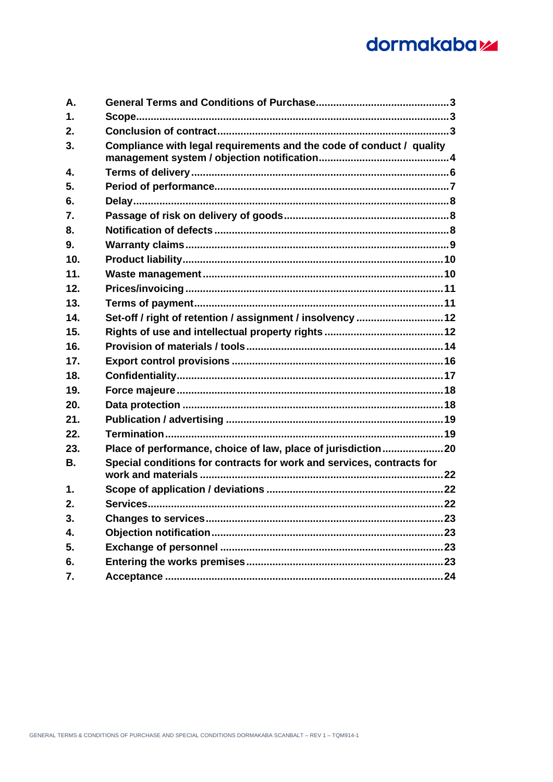| <b>A.</b>     |                                                                       |  |
|---------------|-----------------------------------------------------------------------|--|
| 1.            |                                                                       |  |
| 2.            |                                                                       |  |
| 3.            | Compliance with legal requirements and the code of conduct / quality  |  |
| 4.            |                                                                       |  |
| 5.            |                                                                       |  |
| 6.            |                                                                       |  |
| 7.            |                                                                       |  |
| 8.            |                                                                       |  |
| 9.            |                                                                       |  |
| 10.           |                                                                       |  |
| 11.           |                                                                       |  |
| 12.           |                                                                       |  |
| 13.           |                                                                       |  |
| 14.           | Set-off / right of retention / assignment / insolvency  12            |  |
| 15.           |                                                                       |  |
| 16.           |                                                                       |  |
| 17.           |                                                                       |  |
| 18.           |                                                                       |  |
| 19.           |                                                                       |  |
| 20.           |                                                                       |  |
| 21.           |                                                                       |  |
| 22.           |                                                                       |  |
| 23.           | Place of performance, choice of law, place of jurisdiction20          |  |
| В.            | Special conditions for contracts for work and services, contracts for |  |
| $\mathbf 1$ . |                                                                       |  |
| 2.            |                                                                       |  |
| 3.            |                                                                       |  |
| 4.            |                                                                       |  |
| 5.            |                                                                       |  |
| 6.            |                                                                       |  |
| 7.            |                                                                       |  |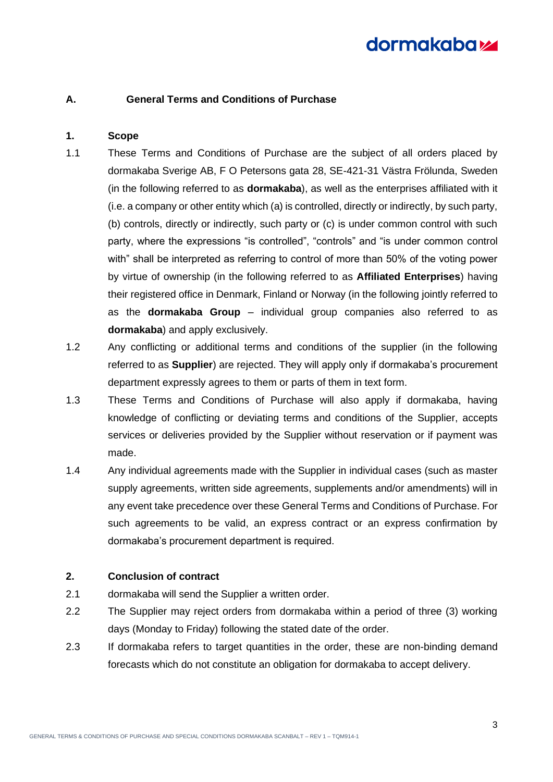## <span id="page-2-0"></span>**A. General Terms and Conditions of Purchase**

## <span id="page-2-1"></span>**1. Scope**

- 1.1 These Terms and Conditions of Purchase are the subject of all orders placed by dormakaba Sverige AB, F O Petersons gata 28, SE-421-31 Västra Frölunda, Sweden (in the following referred to as **dormakaba**), as well as the enterprises affiliated with it (i.e. a company or other entity which (a) is controlled, directly or indirectly, by such party, (b) controls, directly or indirectly, such party or (c) is under common control with such party, where the expressions "is controlled", "controls" and "is under common control with" shall be interpreted as referring to control of more than 50% of the voting power by virtue of ownership (in the following referred to as **Affiliated Enterprises**) having their registered office in Denmark, Finland or Norway (in the following jointly referred to as the **dormakaba Group** – individual group companies also referred to as **dormakaba**) and apply exclusively.
- 1.2 Any conflicting or additional terms and conditions of the supplier (in the following referred to as **Supplier**) are rejected. They will apply only if dormakaba's procurement department expressly agrees to them or parts of them in text form.
- 1.3 These Terms and Conditions of Purchase will also apply if dormakaba, having knowledge of conflicting or deviating terms and conditions of the Supplier, accepts services or deliveries provided by the Supplier without reservation or if payment was made.
- 1.4 Any individual agreements made with the Supplier in individual cases (such as master supply agreements, written side agreements, supplements and/or amendments) will in any event take precedence over these General Terms and Conditions of Purchase. For such agreements to be valid, an express contract or an express confirmation by dormakaba's procurement department is required.

## <span id="page-2-2"></span>**2. Conclusion of contract**

- 2.1 dormakaba will send the Supplier a written order.
- 2.2 The Supplier may reject orders from dormakaba within a period of three (3) working days (Monday to Friday) following the stated date of the order.
- 2.3 If dormakaba refers to target quantities in the order, these are non-binding demand forecasts which do not constitute an obligation for dormakaba to accept delivery.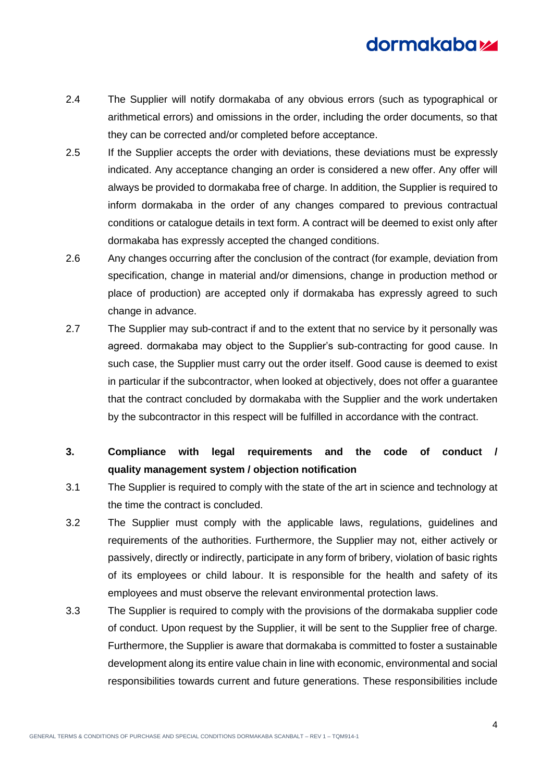- 2.4 The Supplier will notify dormakaba of any obvious errors (such as typographical or arithmetical errors) and omissions in the order, including the order documents, so that they can be corrected and/or completed before acceptance.
- 2.5 If the Supplier accepts the order with deviations, these deviations must be expressly indicated. Any acceptance changing an order is considered a new offer. Any offer will always be provided to dormakaba free of charge. In addition, the Supplier is required to inform dormakaba in the order of any changes compared to previous contractual conditions or catalogue details in text form. A contract will be deemed to exist only after dormakaba has expressly accepted the changed conditions.
- 2.6 Any changes occurring after the conclusion of the contract (for example, deviation from specification, change in material and/or dimensions, change in production method or place of production) are accepted only if dormakaba has expressly agreed to such change in advance.
- 2.7 The Supplier may sub-contract if and to the extent that no service by it personally was agreed. dormakaba may object to the Supplier's sub-contracting for good cause. In such case, the Supplier must carry out the order itself. Good cause is deemed to exist in particular if the subcontractor, when looked at objectively, does not offer a guarantee that the contract concluded by dormakaba with the Supplier and the work undertaken by the subcontractor in this respect will be fulfilled in accordance with the contract.
- <span id="page-3-0"></span>**3. Compliance with legal requirements and the code of conduct / quality management system / objection notification**
- 3.1 The Supplier is required to comply with the state of the art in science and technology at the time the contract is concluded.
- 3.2 The Supplier must comply with the applicable laws, regulations, guidelines and requirements of the authorities. Furthermore, the Supplier may not, either actively or passively, directly or indirectly, participate in any form of bribery, violation of basic rights of its employees or child labour. It is responsible for the health and safety of its employees and must observe the relevant environmental protection laws.
- 3.3 The Supplier is required to comply with the provisions of the dormakaba supplier code of conduct. Upon request by the Supplier, it will be sent to the Supplier free of charge. Furthermore, the Supplier is aware that dormakaba is committed to foster a sustainable development along its entire value chain in line with economic, environmental and social responsibilities towards current and future generations. These responsibilities include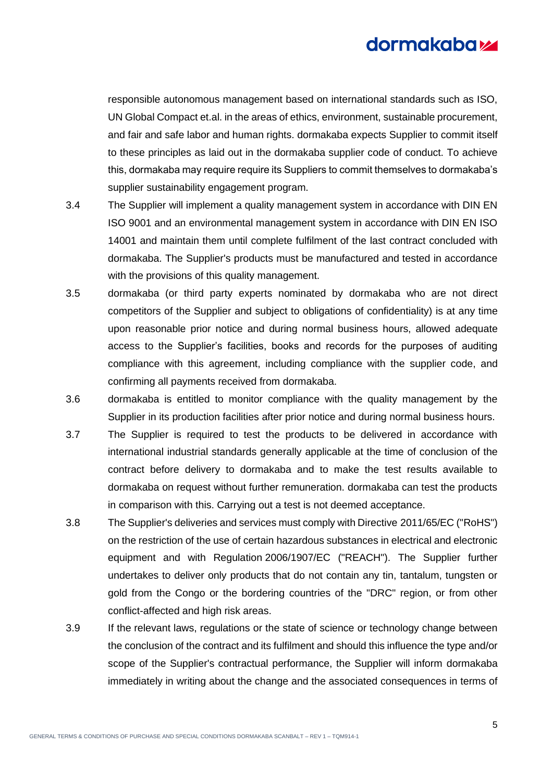responsible autonomous management based on international standards such as ISO, UN Global Compact et.al. in the areas of ethics, environment, sustainable procurement, and fair and safe labor and human rights. dormakaba expects Supplier to commit itself to these principles as laid out in the dormakaba supplier code of conduct. To achieve this, dormakaba may require require its Suppliers to commit themselves to dormakaba's supplier sustainability engagement program.

- 3.4 The Supplier will implement a quality management system in accordance with DIN EN ISO 9001 and an environmental management system in accordance with DIN EN ISO 14001 and maintain them until complete fulfilment of the last contract concluded with dormakaba. The Supplier's products must be manufactured and tested in accordance with the provisions of this quality management.
- 3.5 dormakaba (or third party experts nominated by dormakaba who are not direct competitors of the Supplier and subject to obligations of confidentiality) is at any time upon reasonable prior notice and during normal business hours, allowed adequate access to the Supplier's facilities, books and records for the purposes of auditing compliance with this agreement, including compliance with the supplier code, and confirming all payments received from dormakaba.
- 3.6 dormakaba is entitled to monitor compliance with the quality management by the Supplier in its production facilities after prior notice and during normal business hours.
- 3.7 The Supplier is required to test the products to be delivered in accordance with international industrial standards generally applicable at the time of conclusion of the contract before delivery to dormakaba and to make the test results available to dormakaba on request without further remuneration. dormakaba can test the products in comparison with this. Carrying out a test is not deemed acceptance.
- 3.8 The Supplier's deliveries and services must comply with Directive 2011/65/EC ("RoHS") on the restriction of the use of certain hazardous substances in electrical and electronic equipment and with Regulation 2006/1907/EC ("REACH"). The Supplier further undertakes to deliver only products that do not contain any tin, tantalum, tungsten or gold from the Congo or the bordering countries of the "DRC" region, or from other conflict-affected and high risk areas.
- 3.9 If the relevant laws, regulations or the state of science or technology change between the conclusion of the contract and its fulfilment and should this influence the type and/or scope of the Supplier's contractual performance, the Supplier will inform dormakaba immediately in writing about the change and the associated consequences in terms of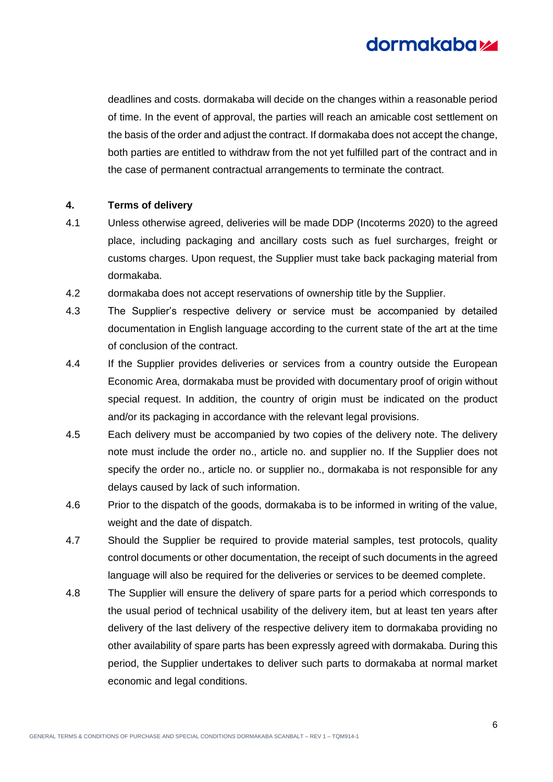

deadlines and costs. dormakaba will decide on the changes within a reasonable period of time. In the event of approval, the parties will reach an amicable cost settlement on the basis of the order and adjust the contract. If dormakaba does not accept the change, both parties are entitled to withdraw from the not yet fulfilled part of the contract and in the case of permanent contractual arrangements to terminate the contract.

### <span id="page-5-0"></span>**4. Terms of delivery**

- 4.1 Unless otherwise agreed, deliveries will be made DDP (Incoterms 2020) to the agreed place, including packaging and ancillary costs such as fuel surcharges, freight or customs charges. Upon request, the Supplier must take back packaging material from dormakaba.
- 4.2 dormakaba does not accept reservations of ownership title by the Supplier.
- 4.3 The Supplier's respective delivery or service must be accompanied by detailed documentation in English language according to the current state of the art at the time of conclusion of the contract.
- 4.4 If the Supplier provides deliveries or services from a country outside the European Economic Area, dormakaba must be provided with documentary proof of origin without special request. In addition, the country of origin must be indicated on the product and/or its packaging in accordance with the relevant legal provisions.
- 4.5 Each delivery must be accompanied by two copies of the delivery note. The delivery note must include the order no., article no. and supplier no. If the Supplier does not specify the order no., article no. or supplier no., dormakaba is not responsible for any delays caused by lack of such information.
- 4.6 Prior to the dispatch of the goods, dormakaba is to be informed in writing of the value, weight and the date of dispatch.
- 4.7 Should the Supplier be required to provide material samples, test protocols, quality control documents or other documentation, the receipt of such documents in the agreed language will also be required for the deliveries or services to be deemed complete.
- <span id="page-5-1"></span>4.8 The Supplier will ensure the delivery of spare parts for a period which corresponds to the usual period of technical usability of the delivery item, but at least ten years after delivery of the last delivery of the respective delivery item to dormakaba providing no other availability of spare parts has been expressly agreed with dormakaba. During this period, the Supplier undertakes to deliver such parts to dormakaba at normal market economic and legal conditions.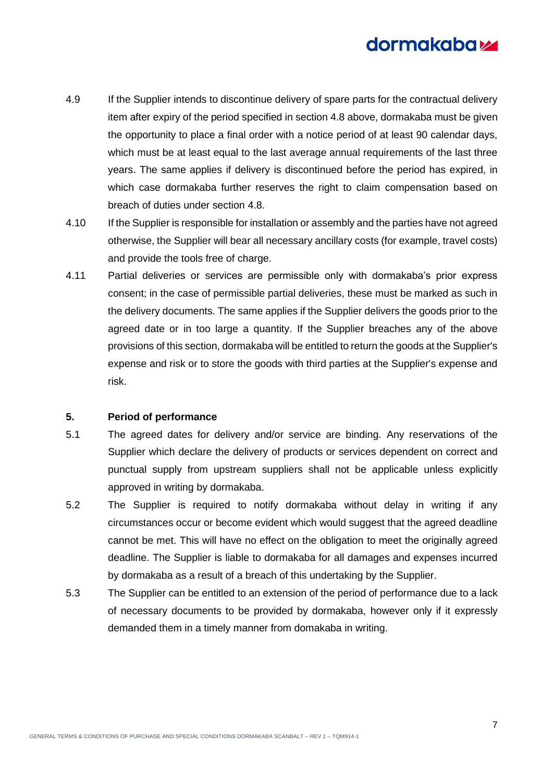- 4.9 If the Supplier intends to discontinue delivery of spare parts for the contractual delivery item after expiry of the period specified in section [4.8](#page-5-1) above, dormakaba must be given the opportunity to place a final order with a notice period of at least 90 calendar days, which must be at least equal to the last average annual requirements of the last three years. The same applies if delivery is discontinued before the period has expired, in which case dormakaba further reserves the right to claim compensation based on breach of duties under section [4.8.](#page-5-1)
- 4.10 If the Supplier is responsible for installation or assembly and the parties have not agreed otherwise, the Supplier will bear all necessary ancillary costs (for example, travel costs) and provide the tools free of charge.
- 4.11 Partial deliveries or services are permissible only with dormakaba's prior express consent; in the case of permissible partial deliveries, these must be marked as such in the delivery documents. The same applies if the Supplier delivers the goods prior to the agreed date or in too large a quantity. If the Supplier breaches any of the above provisions of this section, dormakaba will be entitled to return the goods at the Supplier's expense and risk or to store the goods with third parties at the Supplier's expense and risk.

### <span id="page-6-0"></span>**5. Period of performance**

- <span id="page-6-1"></span>5.1 The agreed dates for delivery and/or service are binding. Any reservations of the Supplier which declare the delivery of products or services dependent on correct and punctual supply from upstream suppliers shall not be applicable unless explicitly approved in writing by dormakaba.
- 5.2 The Supplier is required to notify dormakaba without delay in writing if any circumstances occur or become evident which would suggest that the agreed deadline cannot be met. This will have no effect on the obligation to meet the originally agreed deadline. The Supplier is liable to dormakaba for all damages and expenses incurred by dormakaba as a result of a breach of this undertaking by the Supplier.
- 5.3 The Supplier can be entitled to an extension of the period of performance due to a lack of necessary documents to be provided by dormakaba, however only if it expressly demanded them in a timely manner from domakaba in writing.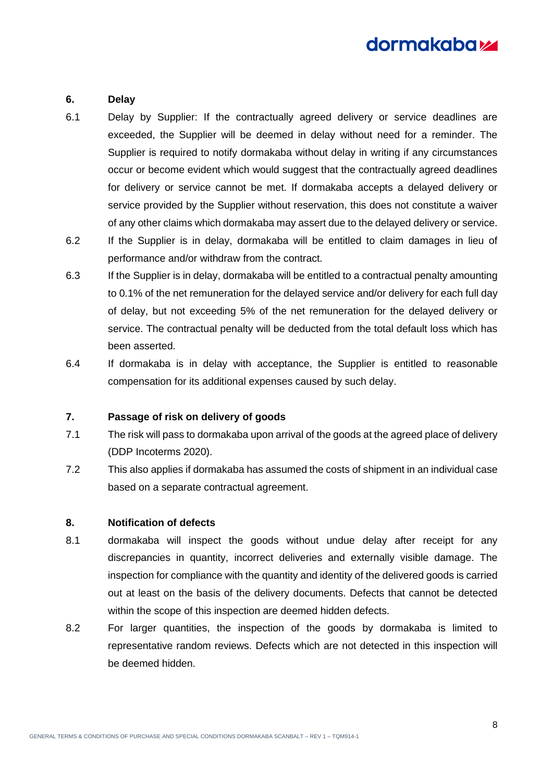#### <span id="page-7-0"></span>**6. Delay**

- 6.1 Delay by Supplier: If the contractually agreed delivery or service deadlines are exceeded, the Supplier will be deemed in delay without need for a reminder. The Supplier is required to notify dormakaba without delay in writing if any circumstances occur or become evident which would suggest that the contractually agreed deadlines for delivery or service cannot be met. If dormakaba accepts a delayed delivery or service provided by the Supplier without reservation, this does not constitute a waiver of any other claims which dormakaba may assert due to the delayed delivery or service.
- 6.2 If the Supplier is in delay, dormakaba will be entitled to claim damages in lieu of performance and/or withdraw from the contract.
- 6.3 If the Supplier is in delay, dormakaba will be entitled to a contractual penalty amounting to 0.1% of the net remuneration for the delayed service and/or delivery for each full day of delay, but not exceeding 5% of the net remuneration for the delayed delivery or service. The contractual penalty will be deducted from the total default loss which has been asserted.
- 6.4 If dormakaba is in delay with acceptance, the Supplier is entitled to reasonable compensation for its additional expenses caused by such delay.

### <span id="page-7-1"></span>**7. Passage of risk on delivery of goods**

- 7.1 The risk will pass to dormakaba upon arrival of the goods at the agreed place of delivery (DDP Incoterms 2020).
- 7.2 This also applies if dormakaba has assumed the costs of shipment in an individual case based on a separate contractual agreement.

#### <span id="page-7-2"></span>**8. Notification of defects**

- 8.1 dormakaba will inspect the goods without undue delay after receipt for any discrepancies in quantity, incorrect deliveries and externally visible damage. The inspection for compliance with the quantity and identity of the delivered goods is carried out at least on the basis of the delivery documents. Defects that cannot be detected within the scope of this inspection are deemed hidden defects.
- 8.2 For larger quantities, the inspection of the goods by dormakaba is limited to representative random reviews. Defects which are not detected in this inspection will be deemed hidden.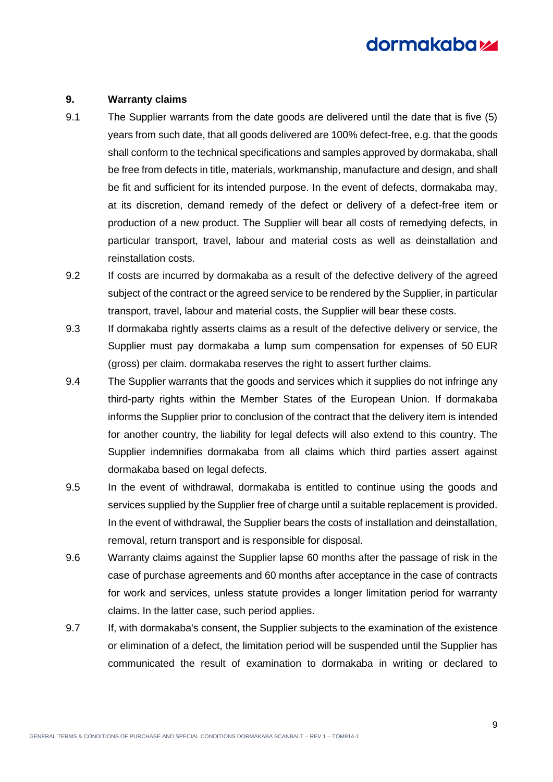#### <span id="page-8-0"></span>**9. Warranty claims**

- 9.1 The Supplier warrants from the date goods are delivered until the date that is five (5) years from such date, that all goods delivered are 100% defect-free, e.g. that the goods shall conform to the technical specifications and samples approved by dormakaba, shall be free from defects in title, materials, workmanship, manufacture and design, and shall be fit and sufficient for its intended purpose. In the event of defects, dormakaba may, at its discretion, demand remedy of the defect or delivery of a defect-free item or production of a new product. The Supplier will bear all costs of remedying defects, in particular transport, travel, labour and material costs as well as deinstallation and reinstallation costs.
- 9.2 If costs are incurred by dormakaba as a result of the defective delivery of the agreed subject of the contract or the agreed service to be rendered by the Supplier, in particular transport, travel, labour and material costs, the Supplier will bear these costs.
- 9.3 If dormakaba rightly asserts claims as a result of the defective delivery or service, the Supplier must pay dormakaba a lump sum compensation for expenses of 50 EUR (gross) per claim. dormakaba reserves the right to assert further claims.
- 9.4 The Supplier warrants that the goods and services which it supplies do not infringe any third-party rights within the Member States of the European Union. If dormakaba informs the Supplier prior to conclusion of the contract that the delivery item is intended for another country, the liability for legal defects will also extend to this country. The Supplier indemnifies dormakaba from all claims which third parties assert against dormakaba based on legal defects.
- 9.5 In the event of withdrawal, dormakaba is entitled to continue using the goods and services supplied by the Supplier free of charge until a suitable replacement is provided. In the event of withdrawal, the Supplier bears the costs of installation and deinstallation, removal, return transport and is responsible for disposal.
- 9.6 Warranty claims against the Supplier lapse 60 months after the passage of risk in the case of purchase agreements and 60 months after acceptance in the case of contracts for work and services, unless statute provides a longer limitation period for warranty claims. In the latter case, such period applies.
- 9.7 If, with dormakaba's consent, the Supplier subjects to the examination of the existence or elimination of a defect, the limitation period will be suspended until the Supplier has communicated the result of examination to dormakaba in writing or declared to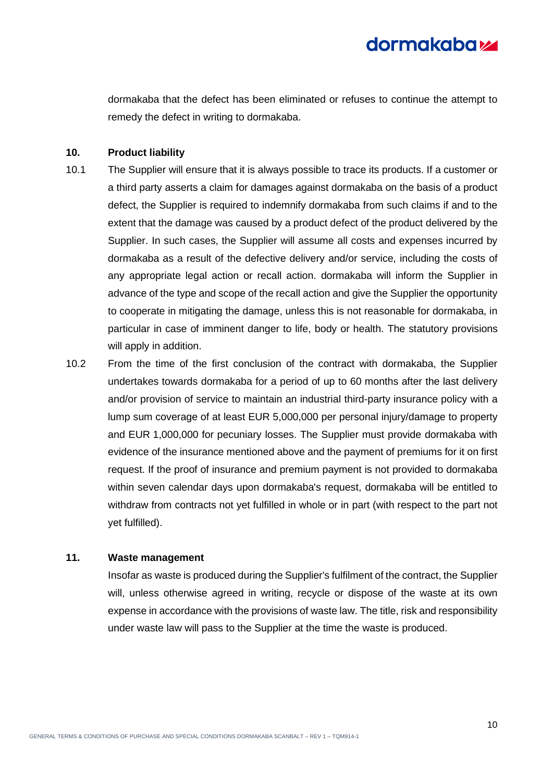dormakaba that the defect has been eliminated or refuses to continue the attempt to remedy the defect in writing to dormakaba.

#### <span id="page-9-0"></span>**10. Product liability**

- 10.1 The Supplier will ensure that it is always possible to trace its products. If a customer or a third party asserts a claim for damages against dormakaba on the basis of a product defect, the Supplier is required to indemnify dormakaba from such claims if and to the extent that the damage was caused by a product defect of the product delivered by the Supplier. In such cases, the Supplier will assume all costs and expenses incurred by dormakaba as a result of the defective delivery and/or service, including the costs of any appropriate legal action or recall action. dormakaba will inform the Supplier in advance of the type and scope of the recall action and give the Supplier the opportunity to cooperate in mitigating the damage, unless this is not reasonable for dormakaba, in particular in case of imminent danger to life, body or health. The statutory provisions will apply in addition.
- 10.2 From the time of the first conclusion of the contract with dormakaba, the Supplier undertakes towards dormakaba for a period of up to 60 months after the last delivery and/or provision of service to maintain an industrial third-party insurance policy with a lump sum coverage of at least EUR 5,000,000 per personal injury/damage to property and EUR 1,000,000 for pecuniary losses. The Supplier must provide dormakaba with evidence of the insurance mentioned above and the payment of premiums for it on first request. If the proof of insurance and premium payment is not provided to dormakaba within seven calendar days upon dormakaba's request, dormakaba will be entitled to withdraw from contracts not yet fulfilled in whole or in part (with respect to the part not yet fulfilled).

### <span id="page-9-1"></span>**11. Waste management**

Insofar as waste is produced during the Supplier's fulfilment of the contract, the Supplier will, unless otherwise agreed in writing, recycle or dispose of the waste at its own expense in accordance with the provisions of waste law. The title, risk and responsibility under waste law will pass to the Supplier at the time the waste is produced.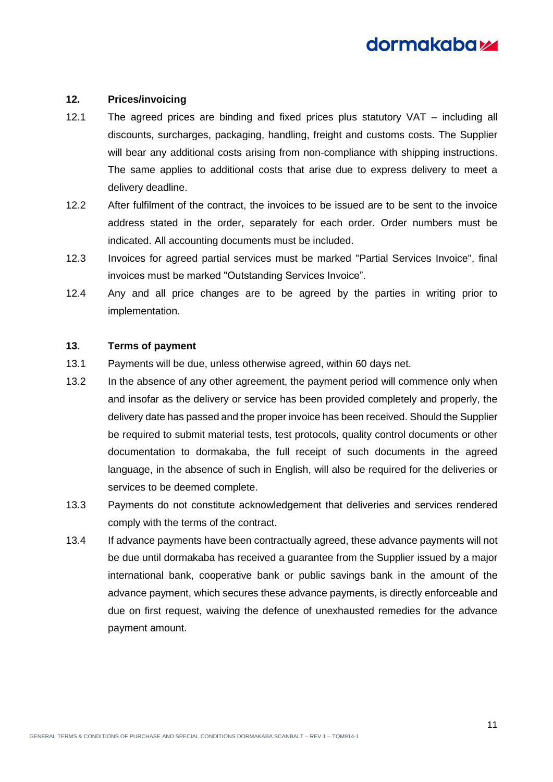

### <span id="page-10-0"></span>**12. Prices/invoicing**

- 12.1 The agreed prices are binding and fixed prices plus statutory VAT including all discounts, surcharges, packaging, handling, freight and customs costs. The Supplier will bear any additional costs arising from non-compliance with shipping instructions. The same applies to additional costs that arise due to express delivery to meet a delivery deadline.
- 12.2 After fulfilment of the contract, the invoices to be issued are to be sent to the invoice address stated in the order, separately for each order. Order numbers must be indicated. All accounting documents must be included.
- 12.3 Invoices for agreed partial services must be marked "Partial Services Invoice", final invoices must be marked "Outstanding Services Invoice".
- 12.4 Any and all price changes are to be agreed by the parties in writing prior to implementation.

#### <span id="page-10-1"></span>**13. Terms of payment**

- 13.1 Payments will be due, unless otherwise agreed, within 60 days net.
- 13.2 In the absence of any other agreement, the payment period will commence only when and insofar as the delivery or service has been provided completely and properly, the delivery date has passed and the proper invoice has been received. Should the Supplier be required to submit material tests, test protocols, quality control documents or other documentation to dormakaba, the full receipt of such documents in the agreed language, in the absence of such in English, will also be required for the deliveries or services to be deemed complete.
- 13.3 Payments do not constitute acknowledgement that deliveries and services rendered comply with the terms of the contract.
- 13.4 If advance payments have been contractually agreed, these advance payments will not be due until dormakaba has received a guarantee from the Supplier issued by a major international bank, cooperative bank or public savings bank in the amount of the advance payment, which secures these advance payments, is directly enforceable and due on first request, waiving the defence of unexhausted remedies for the advance payment amount.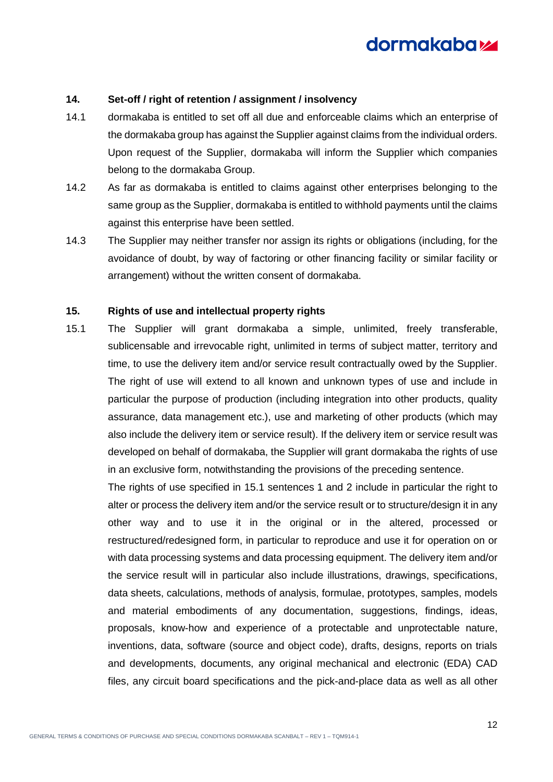

#### <span id="page-11-0"></span>**14. Set-off / right of retention / assignment / insolvency**

- 14.1 dormakaba is entitled to set off all due and enforceable claims which an enterprise of the dormakaba group has against the Supplier against claims from the individual orders. Upon request of the Supplier, dormakaba will inform the Supplier which companies belong to the dormakaba Group.
- 14.2 As far as dormakaba is entitled to claims against other enterprises belonging to the same group as the Supplier, dormakaba is entitled to withhold payments until the claims against this enterprise have been settled.
- 14.3 The Supplier may neither transfer nor assign its rights or obligations (including, for the avoidance of doubt, by way of factoring or other financing facility or similar facility or arrangement) without the written consent of dormakaba.

#### <span id="page-11-1"></span>**15. Rights of use and intellectual property rights**

<span id="page-11-2"></span>15.1 The Supplier will grant dormakaba a simple, unlimited, freely transferable, sublicensable and irrevocable right, unlimited in terms of subject matter, territory and time, to use the delivery item and/or service result contractually owed by the Supplier. The right of use will extend to all known and unknown types of use and include in particular the purpose of production (including integration into other products, quality assurance, data management etc.), use and marketing of other products (which may also include the delivery item or service result). If the delivery item or service result was developed on behalf of dormakaba, the Supplier will grant dormakaba the rights of use in an exclusive form, notwithstanding the provisions of the preceding sentence.

The rights of use specified in [15.1](#page-11-2) sentences 1 and 2 include in particular the right to alter or process the delivery item and/or the service result or to structure/design it in any other way and to use it in the original or in the altered, processed or restructured/redesigned form, in particular to reproduce and use it for operation on or with data processing systems and data processing equipment. The delivery item and/or the service result will in particular also include illustrations, drawings, specifications, data sheets, calculations, methods of analysis, formulae, prototypes, samples, models and material embodiments of any documentation, suggestions, findings, ideas, proposals, know-how and experience of a protectable and unprotectable nature, inventions, data, software (source and object code), drafts, designs, reports on trials and developments, documents, any original mechanical and electronic (EDA) CAD files, any circuit board specifications and the pick-and-place data as well as all other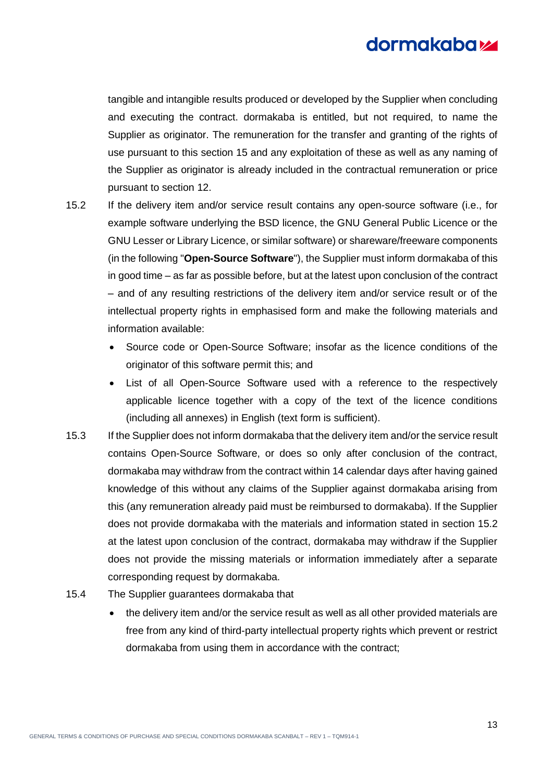tangible and intangible results produced or developed by the Supplier when concluding and executing the contract. dormakaba is entitled, but not required, to name the Supplier as originator. The remuneration for the transfer and granting of the rights of use pursuant to this section [15](#page-11-1) and any exploitation of these as well as any naming of the Supplier as originator is already included in the contractual remuneration or price pursuant to section [12.](#page-10-0)

- <span id="page-12-0"></span>15.2 If the delivery item and/or service result contains any open-source software (i.e., for example software underlying the BSD licence, the GNU General Public Licence or the GNU Lesser or Library Licence, or similar software) or shareware/freeware components (in the following "**Open-Source Software**"), the Supplier must inform dormakaba of this in good time – as far as possible before, but at the latest upon conclusion of the contract – and of any resulting restrictions of the delivery item and/or service result or of the intellectual property rights in emphasised form and make the following materials and information available:
	- Source code or Open-Source Software; insofar as the licence conditions of the originator of this software permit this; and
	- List of all Open-Source Software used with a reference to the respectively applicable licence together with a copy of the text of the licence conditions (including all annexes) in English (text form is sufficient).
- 15.3 If the Supplier does not inform dormakaba that the delivery item and/or the service result contains Open-Source Software, or does so only after conclusion of the contract, dormakaba may withdraw from the contract within 14 calendar days after having gained knowledge of this without any claims of the Supplier against dormakaba arising from this (any remuneration already paid must be reimbursed to dormakaba). If the Supplier does not provide dormakaba with the materials and information stated in section [15.2](#page-12-0) at the latest upon conclusion of the contract, dormakaba may withdraw if the Supplier does not provide the missing materials or information immediately after a separate corresponding request by dormakaba.
- 15.4 The Supplier guarantees dormakaba that
	- the delivery item and/or the service result as well as all other provided materials are free from any kind of third-party intellectual property rights which prevent or restrict dormakaba from using them in accordance with the contract;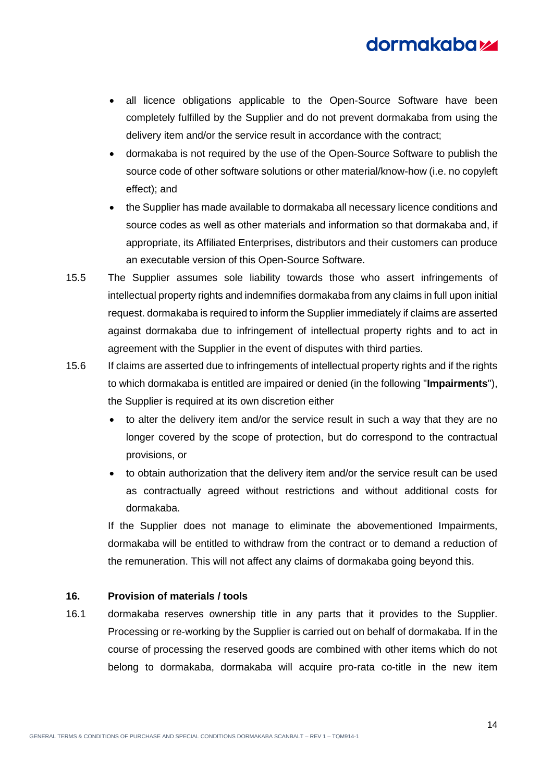- all licence obligations applicable to the Open-Source Software have been completely fulfilled by the Supplier and do not prevent dormakaba from using the delivery item and/or the service result in accordance with the contract;
- dormakaba is not required by the use of the Open-Source Software to publish the source code of other software solutions or other material/know-how (i.e. no copyleft effect); and
- the Supplier has made available to dormakaba all necessary licence conditions and source codes as well as other materials and information so that dormakaba and, if appropriate, its Affiliated Enterprises, distributors and their customers can produce an executable version of this Open-Source Software.
- 15.5 The Supplier assumes sole liability towards those who assert infringements of intellectual property rights and indemnifies dormakaba from any claims in full upon initial request. dormakaba is required to inform the Supplier immediately if claims are asserted against dormakaba due to infringement of intellectual property rights and to act in agreement with the Supplier in the event of disputes with third parties.
- 15.6 If claims are asserted due to infringements of intellectual property rights and if the rights to which dormakaba is entitled are impaired or denied (in the following "**Impairments**"), the Supplier is required at its own discretion either
	- to alter the delivery item and/or the service result in such a way that they are no longer covered by the scope of protection, but do correspond to the contractual provisions, or
	- to obtain authorization that the delivery item and/or the service result can be used as contractually agreed without restrictions and without additional costs for dormakaba.

If the Supplier does not manage to eliminate the abovementioned Impairments, dormakaba will be entitled to withdraw from the contract or to demand a reduction of the remuneration. This will not affect any claims of dormakaba going beyond this.

## <span id="page-13-0"></span>**16. Provision of materials / tools**

16.1 dormakaba reserves ownership title in any parts that it provides to the Supplier. Processing or re-working by the Supplier is carried out on behalf of dormakaba. If in the course of processing the reserved goods are combined with other items which do not belong to dormakaba, dormakaba will acquire pro-rata co-title in the new item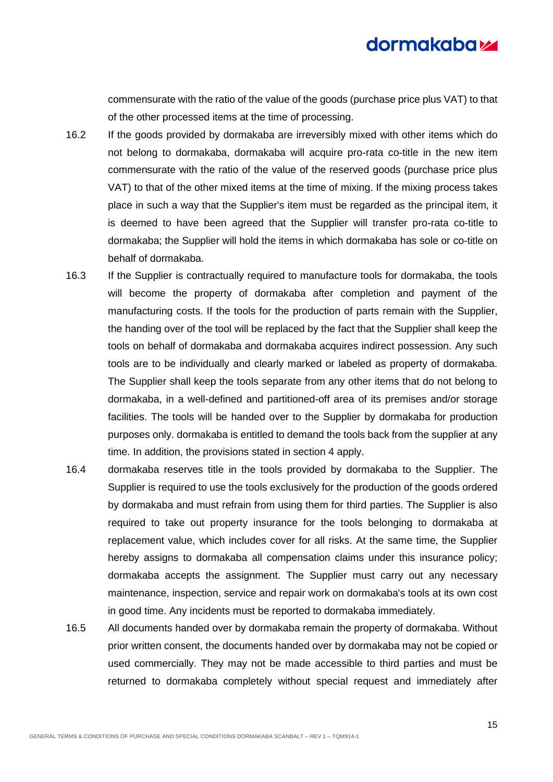commensurate with the ratio of the value of the goods (purchase price plus VAT) to that of the other processed items at the time of processing.

- 16.2 If the goods provided by dormakaba are irreversibly mixed with other items which do not belong to dormakaba, dormakaba will acquire pro-rata co-title in the new item commensurate with the ratio of the value of the reserved goods (purchase price plus VAT) to that of the other mixed items at the time of mixing. If the mixing process takes place in such a way that the Supplier's item must be regarded as the principal item, it is deemed to have been agreed that the Supplier will transfer pro-rata co-title to dormakaba; the Supplier will hold the items in which dormakaba has sole or co-title on behalf of dormakaba.
- 16.3 If the Supplier is contractually required to manufacture tools for dormakaba, the tools will become the property of dormakaba after completion and payment of the manufacturing costs. If the tools for the production of parts remain with the Supplier, the handing over of the tool will be replaced by the fact that the Supplier shall keep the tools on behalf of dormakaba and dormakaba acquires indirect possession. Any such tools are to be individually and clearly marked or labeled as property of dormakaba. The Supplier shall keep the tools separate from any other items that do not belong to dormakaba, in a well-defined and partitioned-off area of its premises and/or storage facilities. The tools will be handed over to the Supplier by dormakaba for production purposes only. dormakaba is entitled to demand the tools back from the supplier at any time. In addition, the provisions stated in section [4](#page-5-0) apply.
- 16.4 dormakaba reserves title in the tools provided by dormakaba to the Supplier. The Supplier is required to use the tools exclusively for the production of the goods ordered by dormakaba and must refrain from using them for third parties. The Supplier is also required to take out property insurance for the tools belonging to dormakaba at replacement value, which includes cover for all risks. At the same time, the Supplier hereby assigns to dormakaba all compensation claims under this insurance policy; dormakaba accepts the assignment. The Supplier must carry out any necessary maintenance, inspection, service and repair work on dormakaba's tools at its own cost in good time. Any incidents must be reported to dormakaba immediately.
- 16.5 All documents handed over by dormakaba remain the property of dormakaba. Without prior written consent, the documents handed over by dormakaba may not be copied or used commercially. They may not be made accessible to third parties and must be returned to dormakaba completely without special request and immediately after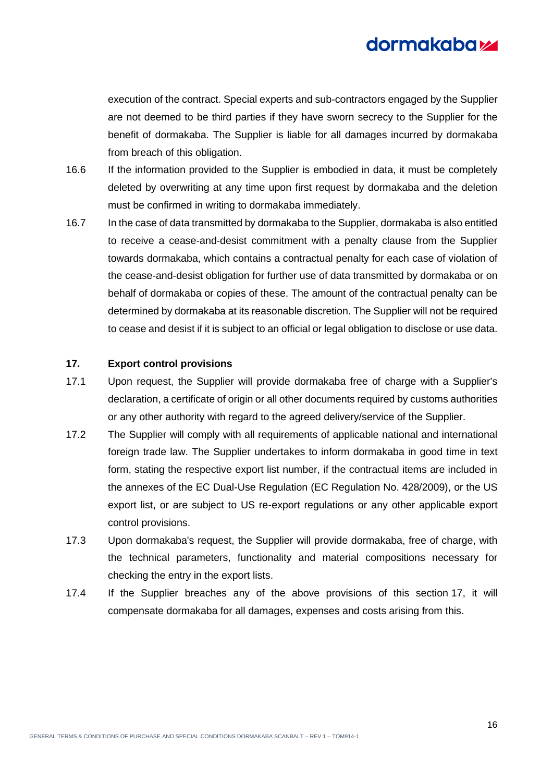execution of the contract. Special experts and sub-contractors engaged by the Supplier are not deemed to be third parties if they have sworn secrecy to the Supplier for the benefit of dormakaba. The Supplier is liable for all damages incurred by dormakaba from breach of this obligation.

- 16.6 If the information provided to the Supplier is embodied in data, it must be completely deleted by overwriting at any time upon first request by dormakaba and the deletion must be confirmed in writing to dormakaba immediately.
- 16.7 In the case of data transmitted by dormakaba to the Supplier, dormakaba is also entitled to receive a cease-and-desist commitment with a penalty clause from the Supplier towards dormakaba, which contains a contractual penalty for each case of violation of the cease-and-desist obligation for further use of data transmitted by dormakaba or on behalf of dormakaba or copies of these. The amount of the contractual penalty can be determined by dormakaba at its reasonable discretion. The Supplier will not be required to cease and desist if it is subject to an official or legal obligation to disclose or use data.

### <span id="page-15-0"></span>**17. Export control provisions**

- 17.1 Upon request, the Supplier will provide dormakaba free of charge with a Supplier's declaration, a certificate of origin or all other documents required by customs authorities or any other authority with regard to the agreed delivery/service of the Supplier.
- 17.2 The Supplier will comply with all requirements of applicable national and international foreign trade law. The Supplier undertakes to inform dormakaba in good time in text form, stating the respective export list number, if the contractual items are included in the annexes of the EC Dual-Use Regulation (EC Regulation No. 428/2009), or the US export list, or are subject to US re-export regulations or any other applicable export control provisions.
- 17.3 Upon dormakaba's request, the Supplier will provide dormakaba, free of charge, with the technical parameters, functionality and material compositions necessary for checking the entry in the export lists.
- 17.4 If the Supplier breaches any of the above provisions of this section [17,](#page-15-0) it will compensate dormakaba for all damages, expenses and costs arising from this.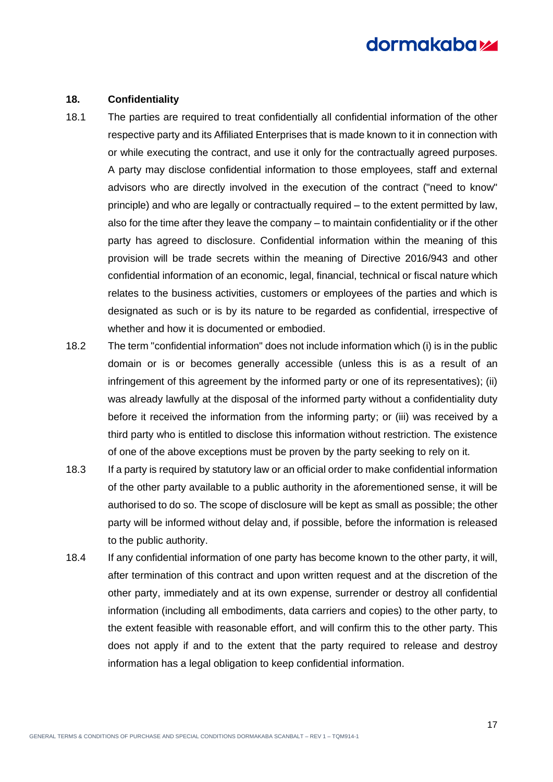#### <span id="page-16-0"></span>**18. Confidentiality**

- 18.1 The parties are required to treat confidentially all confidential information of the other respective party and its Affiliated Enterprises that is made known to it in connection with or while executing the contract, and use it only for the contractually agreed purposes. A party may disclose confidential information to those employees, staff and external advisors who are directly involved in the execution of the contract ("need to know" principle) and who are legally or contractually required – to the extent permitted by law, also for the time after they leave the company – to maintain confidentiality or if the other party has agreed to disclosure. Confidential information within the meaning of this provision will be trade secrets within the meaning of Directive 2016/943 and other confidential information of an economic, legal, financial, technical or fiscal nature which relates to the business activities, customers or employees of the parties and which is designated as such or is by its nature to be regarded as confidential, irrespective of whether and how it is documented or embodied.
- 18.2 The term "confidential information" does not include information which (i) is in the public domain or is or becomes generally accessible (unless this is as a result of an infringement of this agreement by the informed party or one of its representatives); (ii) was already lawfully at the disposal of the informed party without a confidentiality duty before it received the information from the informing party; or (iii) was received by a third party who is entitled to disclose this information without restriction. The existence of one of the above exceptions must be proven by the party seeking to rely on it.
- 18.3 If a party is required by statutory law or an official order to make confidential information of the other party available to a public authority in the aforementioned sense, it will be authorised to do so. The scope of disclosure will be kept as small as possible; the other party will be informed without delay and, if possible, before the information is released to the public authority.
- 18.4 If any confidential information of one party has become known to the other party, it will, after termination of this contract and upon written request and at the discretion of the other party, immediately and at its own expense, surrender or destroy all confidential information (including all embodiments, data carriers and copies) to the other party, to the extent feasible with reasonable effort, and will confirm this to the other party. This does not apply if and to the extent that the party required to release and destroy information has a legal obligation to keep confidential information.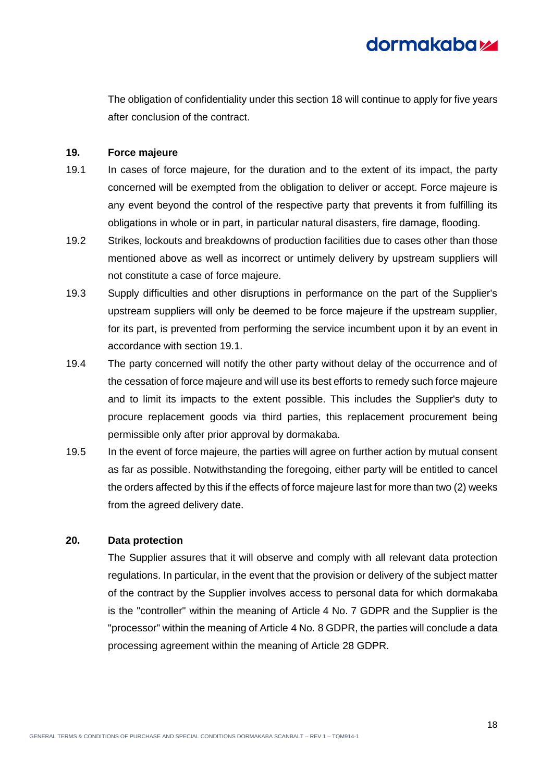

The obligation of confidentiality under this section [18](#page-16-0) will continue to apply for five years after conclusion of the contract.

#### <span id="page-17-0"></span>**19. Force majeure**

- <span id="page-17-2"></span>19.1 In cases of force majeure, for the duration and to the extent of its impact, the party concerned will be exempted from the obligation to deliver or accept. Force majeure is any event beyond the control of the respective party that prevents it from fulfilling its obligations in whole or in part, in particular natural disasters, fire damage, flooding.
- 19.2 Strikes, lockouts and breakdowns of production facilities due to cases other than those mentioned above as well as incorrect or untimely delivery by upstream suppliers will not constitute a case of force majeure.
- 19.3 Supply difficulties and other disruptions in performance on the part of the Supplier's upstream suppliers will only be deemed to be force majeure if the upstream supplier, for its part, is prevented from performing the service incumbent upon it by an event in accordance with section [19.1.](#page-17-2)
- 19.4 The party concerned will notify the other party without delay of the occurrence and of the cessation of force majeure and will use its best efforts to remedy such force majeure and to limit its impacts to the extent possible. This includes the Supplier's duty to procure replacement goods via third parties, this replacement procurement being permissible only after prior approval by dormakaba.
- 19.5 In the event of force majeure, the parties will agree on further action by mutual consent as far as possible. Notwithstanding the foregoing, either party will be entitled to cancel the orders affected by this if the effects of force majeure last for more than two (2) weeks from the agreed delivery date.

### <span id="page-17-1"></span>**20. Data protection**

The Supplier assures that it will observe and comply with all relevant data protection regulations. In particular, in the event that the provision or delivery of the subject matter of the contract by the Supplier involves access to personal data for which dormakaba is the "controller" within the meaning of Article 4 No. 7 GDPR and the Supplier is the "processor" within the meaning of Article 4 No. 8 GDPR, the parties will conclude a data processing agreement within the meaning of Article 28 GDPR.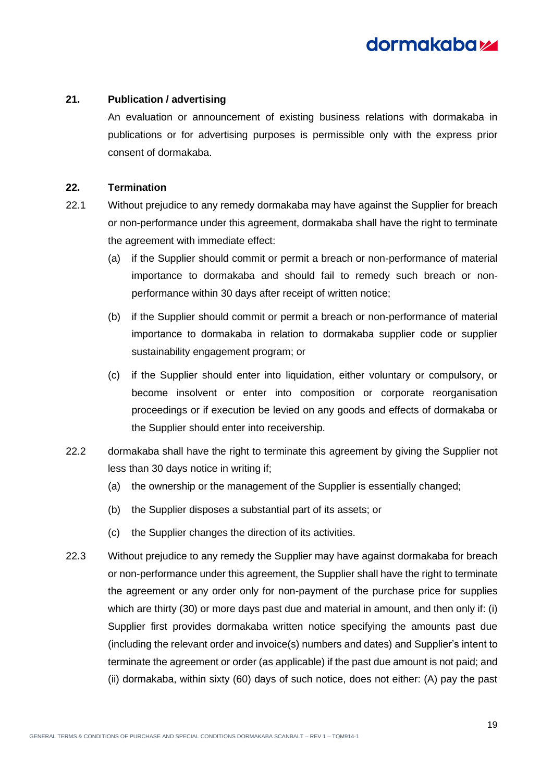

#### <span id="page-18-0"></span>**21. Publication / advertising**

An evaluation or announcement of existing business relations with dormakaba in publications or for advertising purposes is permissible only with the express prior consent of dormakaba.

#### <span id="page-18-1"></span>**22. Termination**

- 22.1 Without prejudice to any remedy dormakaba may have against the Supplier for breach or non-performance under this agreement, dormakaba shall have the right to terminate the agreement with immediate effect:
	- (a) if the Supplier should commit or permit a breach or non-performance of material importance to dormakaba and should fail to remedy such breach or nonperformance within 30 days after receipt of written notice;
	- (b) if the Supplier should commit or permit a breach or non-performance of material importance to dormakaba in relation to dormakaba supplier code or supplier sustainability engagement program; or
	- (c) if the Supplier should enter into liquidation, either voluntary or compulsory, or become insolvent or enter into composition or corporate reorganisation proceedings or if execution be levied on any goods and effects of dormakaba or the Supplier should enter into receivership.
- 22.2 dormakaba shall have the right to terminate this agreement by giving the Supplier not less than 30 days notice in writing if;
	- (a) the ownership or the management of the Supplier is essentially changed;
	- (b) the Supplier disposes a substantial part of its assets; or
	- (c) the Supplier changes the direction of its activities.
- 22.3 Without prejudice to any remedy the Supplier may have against dormakaba for breach or non-performance under this agreement, the Supplier shall have the right to terminate the agreement or any order only for non-payment of the purchase price for supplies which are thirty (30) or more days past due and material in amount, and then only if: (i) Supplier first provides dormakaba written notice specifying the amounts past due (including the relevant order and invoice(s) numbers and dates) and Supplier's intent to terminate the agreement or order (as applicable) if the past due amount is not paid; and (ii) dormakaba, within sixty (60) days of such notice, does not either: (A) pay the past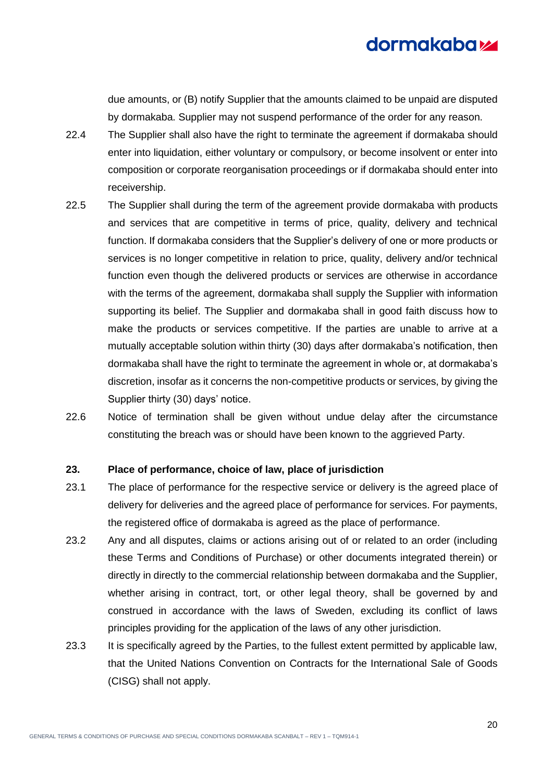due amounts, or (B) notify Supplier that the amounts claimed to be unpaid are disputed by dormakaba. Supplier may not suspend performance of the order for any reason.

- 22.4 The Supplier shall also have the right to terminate the agreement if dormakaba should enter into liquidation, either voluntary or compulsory, or become insolvent or enter into composition or corporate reorganisation proceedings or if dormakaba should enter into receivership.
- 22.5 The Supplier shall during the term of the agreement provide dormakaba with products and services that are competitive in terms of price, quality, delivery and technical function. If dormakaba considers that the Supplier's delivery of one or more products or services is no longer competitive in relation to price, quality, delivery and/or technical function even though the delivered products or services are otherwise in accordance with the terms of the agreement, dormakaba shall supply the Supplier with information supporting its belief. The Supplier and dormakaba shall in good faith discuss how to make the products or services competitive. If the parties are unable to arrive at a mutually acceptable solution within thirty (30) days after dormakaba's notification, then dormakaba shall have the right to terminate the agreement in whole or, at dormakaba's discretion, insofar as it concerns the non-competitive products or services, by giving the Supplier thirty (30) days' notice.
- 22.6 Notice of termination shall be given without undue delay after the circumstance constituting the breach was or should have been known to the aggrieved Party.

### <span id="page-19-0"></span>**23. Place of performance, choice of law, place of jurisdiction**

- 23.1 The place of performance for the respective service or delivery is the agreed place of delivery for deliveries and the agreed place of performance for services. For payments, the registered office of dormakaba is agreed as the place of performance.
- 23.2 Any and all disputes, claims or actions arising out of or related to an order (including these Terms and Conditions of Purchase) or other documents integrated therein) or directly in directly to the commercial relationship between dormakaba and the Supplier, whether arising in contract, tort, or other legal theory, shall be governed by and construed in accordance with the laws of Sweden, excluding its conflict of laws principles providing for the application of the laws of any other jurisdiction.
- 23.3 It is specifically agreed by the Parties, to the fullest extent permitted by applicable law, that the United Nations Convention on Contracts for the International Sale of Goods (CISG) shall not apply.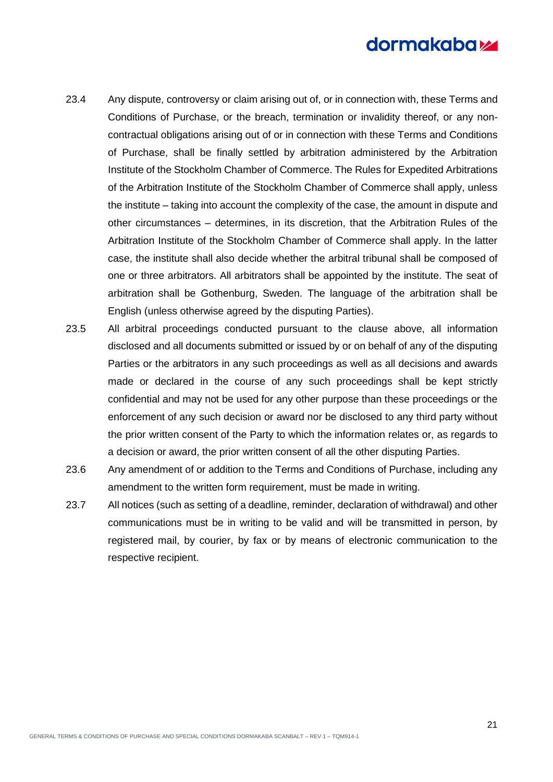- 23.4 Any dispute, controversy or claim arising out of, or in connection with, these Terms and Conditions of Purchase, or the breach, termination or invalidity thereof, or any noncontractual obligations arising out of or in connection with these Terms and Conditions of Purchase, shall be finally settled by arbitration administered by the Arbitration Institute of the Stockholm Chamber of Commerce. The Rules for Expedited Arbitrations of the Arbitration Institute of the Stockholm Chamber of Commerce shall apply, unless the institute – taking into account the complexity of the case, the amount in dispute and other circumstances – determines, in its discretion, that the Arbitration Rules of the Arbitration Institute of the Stockholm Chamber of Commerce shall apply. In the latter case, the institute shall also decide whether the arbitral tribunal shall be composed of one or three arbitrators. All arbitrators shall be appointed by the institute. The seat of arbitration shall be Gothenburg, Sweden. The language of the arbitration shall be English (unless otherwise agreed by the disputing Parties).
- 23.5 All arbitral proceedings conducted pursuant to the clause above, all information disclosed and all documents submitted or issued by or on behalf of any of the disputing Parties or the arbitrators in any such proceedings as well as all decisions and awards made or declared in the course of any such proceedings shall be kept strictly confidential and may not be used for any other purpose than these proceedings or the enforcement of any such decision or award nor be disclosed to any third party without the prior written consent of the Party to which the information relates or, as regards to a decision or award, the prior written consent of all the other disputing Parties.
- 23.6 Any amendment of or addition to the Terms and Conditions of Purchase, including any amendment to the written form requirement, must be made in writing.
- 23.7 All notices (such as setting of a deadline, reminder, declaration of withdrawal) and other communications must be in writing to be valid and will be transmitted in person, by registered mail, by courier, by fax or by means of electronic communication to the respective recipient.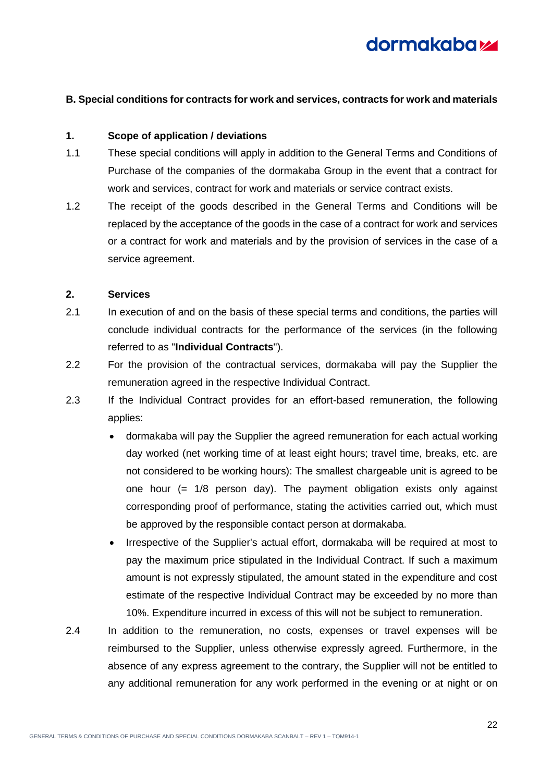

### <span id="page-21-0"></span>**B. Special conditions for contracts for work and services, contracts for work and materials**

### <span id="page-21-1"></span>**1. Scope of application / deviations**

- 1.1 These special conditions will apply in addition to the General Terms and Conditions of Purchase of the companies of the dormakaba Group in the event that a contract for work and services, contract for work and materials or service contract exists.
- 1.2 The receipt of the goods described in the General Terms and Conditions will be replaced by the acceptance of the goods in the case of a contract for work and services or a contract for work and materials and by the provision of services in the case of a service agreement.

#### <span id="page-21-2"></span>**2. Services**

- 2.1 In execution of and on the basis of these special terms and conditions, the parties will conclude individual contracts for the performance of the services (in the following referred to as "**Individual Contracts**").
- 2.2 For the provision of the contractual services, dormakaba will pay the Supplier the remuneration agreed in the respective Individual Contract.
- 2.3 If the Individual Contract provides for an effort-based remuneration, the following applies:
	- dormakaba will pay the Supplier the agreed remuneration for each actual working day worked (net working time of at least eight hours; travel time, breaks, etc. are not considered to be working hours): The smallest chargeable unit is agreed to be one hour (= 1/8 person day). The payment obligation exists only against corresponding proof of performance, stating the activities carried out, which must be approved by the responsible contact person at dormakaba.
	- Irrespective of the Supplier's actual effort, dormakaba will be required at most to pay the maximum price stipulated in the Individual Contract. If such a maximum amount is not expressly stipulated, the amount stated in the expenditure and cost estimate of the respective Individual Contract may be exceeded by no more than 10%. Expenditure incurred in excess of this will not be subject to remuneration.
- 2.4 In addition to the remuneration, no costs, expenses or travel expenses will be reimbursed to the Supplier, unless otherwise expressly agreed. Furthermore, in the absence of any express agreement to the contrary, the Supplier will not be entitled to any additional remuneration for any work performed in the evening or at night or on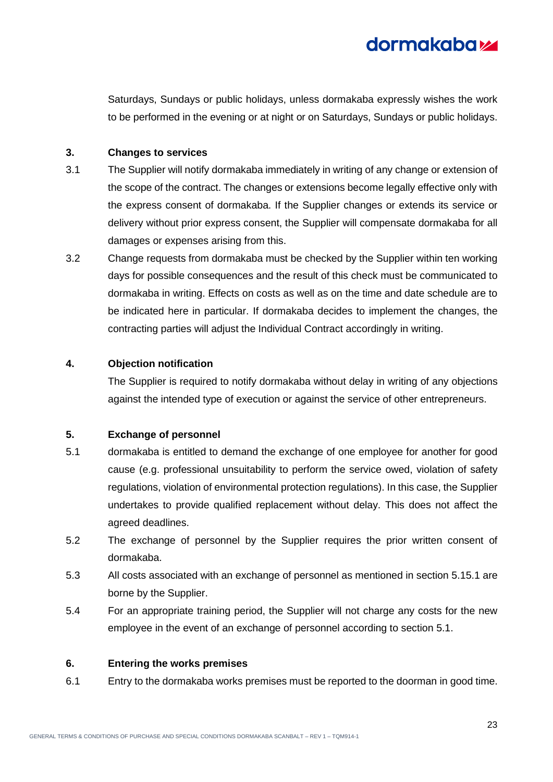

Saturdays, Sundays or public holidays, unless dormakaba expressly wishes the work to be performed in the evening or at night or on Saturdays, Sundays or public holidays.

### <span id="page-22-0"></span>**3. Changes to services**

- 3.1 The Supplier will notify dormakaba immediately in writing of any change or extension of the scope of the contract. The changes or extensions become legally effective only with the express consent of dormakaba. If the Supplier changes or extends its service or delivery without prior express consent, the Supplier will compensate dormakaba for all damages or expenses arising from this.
- 3.2 Change requests from dormakaba must be checked by the Supplier within ten working days for possible consequences and the result of this check must be communicated to dormakaba in writing. Effects on costs as well as on the time and date schedule are to be indicated here in particular. If dormakaba decides to implement the changes, the contracting parties will adjust the Individual Contract accordingly in writing.

### <span id="page-22-1"></span>**4. Objection notification**

The Supplier is required to notify dormakaba without delay in writing of any objections against the intended type of execution or against the service of other entrepreneurs.

### <span id="page-22-2"></span>**5. Exchange of personnel**

- <span id="page-22-4"></span>5.1 dormakaba is entitled to demand the exchange of one employee for another for good cause (e.g. professional unsuitability to perform the service owed, violation of safety regulations, violation of environmental protection regulations). In this case, the Supplier undertakes to provide qualified replacement without delay. This does not affect the agreed deadlines.
- 5.2 The exchange of personnel by the Supplier requires the prior written consent of dormakaba.
- 5.3 All costs associated with an exchange of personnel as mentioned in section [5.1](#page-6-1)[5.1](#page-22-4) are borne by the Supplier.
- 5.4 For an appropriate training period, the Supplier will not charge any costs for the new employee in the event of an exchange of personnel according to section [5.1.](#page-22-4)

### <span id="page-22-3"></span>**6. Entering the works premises**

6.1 Entry to the dormakaba works premises must be reported to the doorman in good time.